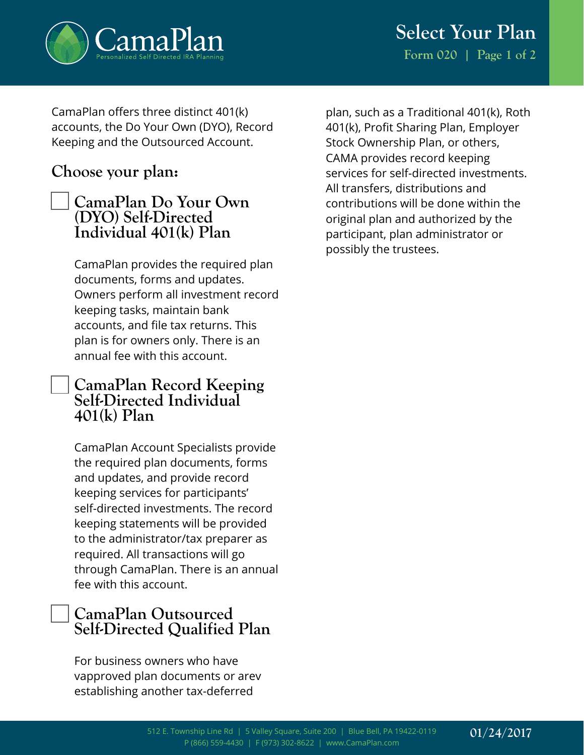

**Select Your Plan Form 020 | Page 1 of 2**

CamaPlan offers three distinct 401(k) accounts, the Do Your Own (DYO), Record Keeping and the Outsourced Account.

## **Choose your plan:**

## **CamaPlan Do Your Own (DYO) Self-Directed Individual 401(k) Plan**

CamaPlan provides the required plan documents, forms and updates. Owners perform all investment record keeping tasks, maintain bank accounts, and file tax returns. This plan is for owners only. There is an annual fee with this account.

## **CamaPlan Record Keeping Self-Directed Individual 401(k) Plan**

CamaPlan Account Specialists provide the required plan documents, forms and updates, and provide record keeping services for participants' self-directed investments. The record keeping statements will be provided to the administrator/tax preparer as required. All transactions will go through CamaPlan. There is an annual fee with this account.

## **CamaPlan Outsourced Self-Directed Qualified Plan**

For business owners who have vapproved plan documents or arev establishing another tax-deferred

plan, such as a Traditional 401(k), Roth 401(k), Profit Sharing Plan, Employer Stock Ownership Plan, or others, CAMA provides record keeping services for self-directed investments. All transfers, distributions and contributions will be done within the original plan and authorized by the participant, plan administrator or possibly the trustees.